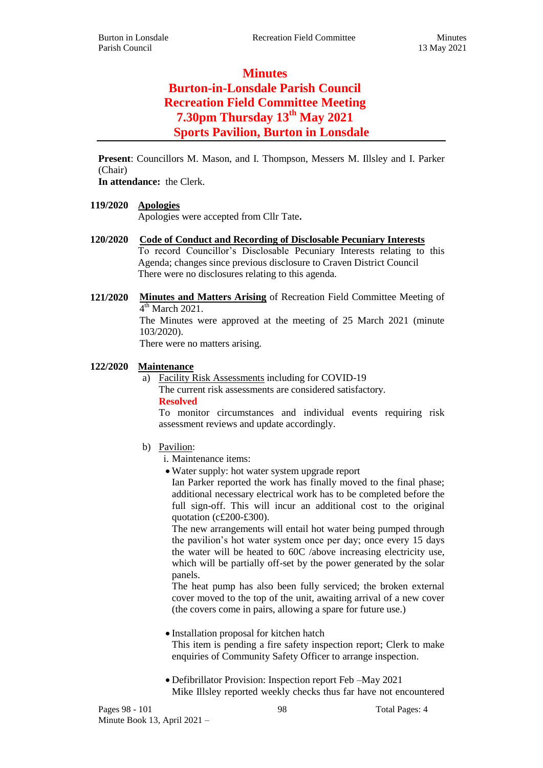# **Minutes Burton-in-Lonsdale Parish Council Recreation Field Committee Meeting 7.30pm Thursday 13th May 2021 Sports Pavilion, Burton in Lonsdale**

**Present**: Councillors M. Mason, and I. Thompson, Messers M. Illsley and I. Parker (Chair)

**In attendance:** the Clerk.

### **119/2020 Apologies**

Apologies were accepted from Cllr Tate**.**

- **120/2020 Code of Conduct and Recording of Disclosable Pecuniary Interests** To record Councillor's Disclosable Pecuniary Interests relating to this Agenda; changes since previous disclosure to Craven District Council There were no disclosures relating to this agenda.
- **121/2020 Minutes and Matters Arising** of Recreation Field Committee Meeting of  $4<sup>th</sup>$  March 2021.

The Minutes were approved at the meeting of 25 March 2021 (minute 103/2020).

There were no matters arising.

#### **122/2020 Maintenance**

a) Facility Risk Assessments including for COVID-19 The current risk assessments are considered satisfactory.

**Resolved**

To monitor circumstances and individual events requiring risk assessment reviews and update accordingly.

- b) Pavilion:
	- i. Maintenance items:
	- Water supply: hot water system upgrade report

Ian Parker reported the work has finally moved to the final phase; additional necessary electrical work has to be completed before the full sign-off. This will incur an additional cost to the original quotation (c£200-£300).

The new arrangements will entail hot water being pumped through the pavilion's hot water system once per day; once every 15 days the water will be heated to 60C /above increasing electricity use, which will be partially off-set by the power generated by the solar panels.

The heat pump has also been fully serviced; the broken external cover moved to the top of the unit, awaiting arrival of a new cover (the covers come in pairs, allowing a spare for future use.)

- Installation proposal for kitchen hatch This item is pending a fire safety inspection report; Clerk to make enquiries of Community Safety Officer to arrange inspection.
- Defibrillator Provision: Inspection report Feb –May 2021 Mike Illsley reported weekly checks thus far have not encountered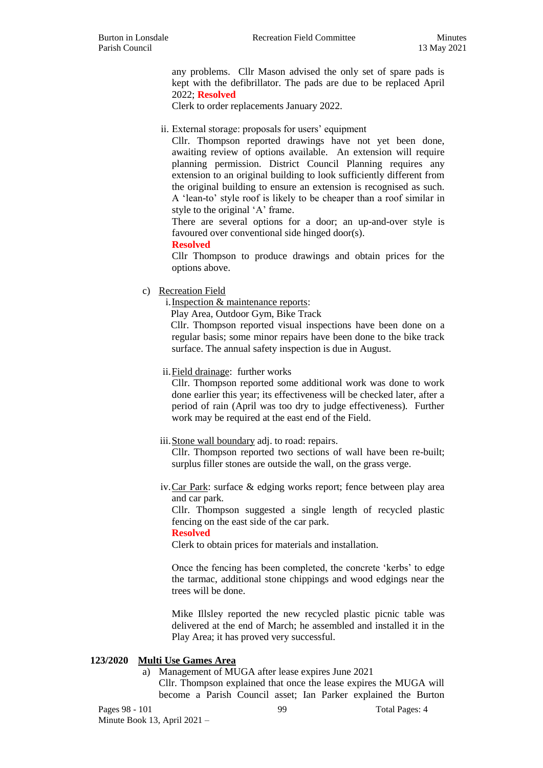any problems. Cllr Mason advised the only set of spare pads is kept with the defibrillator. The pads are due to be replaced April 2022; **Resolved**

Clerk to order replacements January 2022.

#### ii. External storage: proposals for users' equipment

Cllr. Thompson reported drawings have not yet been done, awaiting review of options available. An extension will require planning permission. District Council Planning requires any extension to an original building to look sufficiently different from the original building to ensure an extension is recognised as such. A 'lean-to' style roof is likely to be cheaper than a roof similar in style to the original 'A' frame.

There are several options for a door; an up-and-over style is favoured over conventional side hinged door(s).

**Resolved**

Cllr Thompson to produce drawings and obtain prices for the options above.

c) Recreation Field

i.Inspection & maintenance reports:

Play Area, Outdoor Gym, Bike Track

Cllr. Thompson reported visual inspections have been done on a regular basis; some minor repairs have been done to the bike track surface. The annual safety inspection is due in August.

ii.Field drainage: further works

Cllr. Thompson reported some additional work was done to work done earlier this year; its effectiveness will be checked later, after a period of rain (April was too dry to judge effectiveness). Further work may be required at the east end of the Field.

#### iii. Stone wall boundary adj. to road: repairs.

Cllr. Thompson reported two sections of wall have been re-built; surplus filler stones are outside the wall, on the grass verge.

iv.Car Park: surface & edging works report; fence between play area and car park.

Cllr. Thompson suggested a single length of recycled plastic fencing on the east side of the car park.

#### **Resolved**

Clerk to obtain prices for materials and installation.

Once the fencing has been completed, the concrete 'kerbs' to edge the tarmac, additional stone chippings and wood edgings near the trees will be done.

Mike Illsley reported the new recycled plastic picnic table was delivered at the end of March; he assembled and installed it in the Play Area; it has proved very successful.

#### **123/2020 Multi Use Games Area**

a) Management of MUGA after lease expires June 2021

Cllr. Thompson explained that once the lease expires the MUGA will become a Parish Council asset; Ian Parker explained the Burton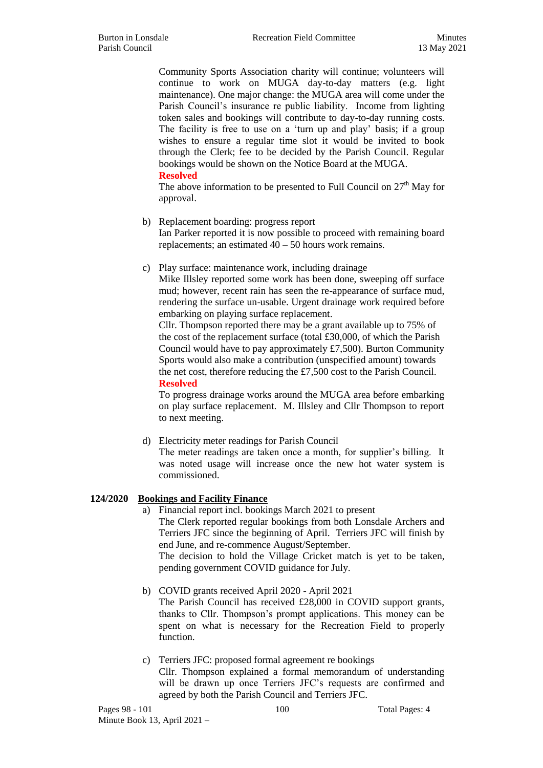Community Sports Association charity will continue; volunteers will continue to work on MUGA day-to-day matters (e.g. light maintenance). One major change: the MUGA area will come under the Parish Council's insurance re public liability. Income from lighting token sales and bookings will contribute to day-to-day running costs. The facility is free to use on a 'turn up and play' basis; if a group wishes to ensure a regular time slot it would be invited to book through the Clerk; fee to be decided by the Parish Council. Regular bookings would be shown on the Notice Board at the MUGA. **Resolved**

The above information to be presented to Full Council on  $27<sup>th</sup>$  May for approval.

#### b) Replacement boarding: progress report

Ian Parker reported it is now possible to proceed with remaining board replacements; an estimated 40 – 50 hours work remains.

c) Play surface: maintenance work, including drainage

Mike Illsley reported some work has been done, sweeping off surface mud; however, recent rain has seen the re-appearance of surface mud, rendering the surface un-usable. Urgent drainage work required before embarking on playing surface replacement.

Cllr. Thompson reported there may be a grant available up to 75% of the cost of the replacement surface (total £30,000, of which the Parish Council would have to pay approximately £7,500). Burton Community Sports would also make a contribution (unspecified amount) towards the net cost, therefore reducing the £7,500 cost to the Parish Council. **Resolved**

To progress drainage works around the MUGA area before embarking on play surface replacement. M. Illsley and Cllr Thompson to report to next meeting.

d) Electricity meter readings for Parish Council The meter readings are taken once a month, for supplier's billing. It was noted usage will increase once the new hot water system is

## **124/2020 Bookings and Facility Finance**

commissioned.

a) Financial report incl. bookings March 2021 to present The Clerk reported regular bookings from both Lonsdale Archers and Terriers JFC since the beginning of April. Terriers JFC will finish by end June, and re-commence August/September. The decision to hold the Village Cricket match is yet to be taken,

pending government COVID guidance for July.

- b) COVID grants received April 2020 April 2021 The Parish Council has received £28,000 in COVID support grants, thanks to Cllr. Thompson's prompt applications. This money can be spent on what is necessary for the Recreation Field to properly function.
- c) Terriers JFC: proposed formal agreement re bookings Cllr. Thompson explained a formal memorandum of understanding will be drawn up once Terriers JFC's requests are confirmed and agreed by both the Parish Council and Terriers JFC.